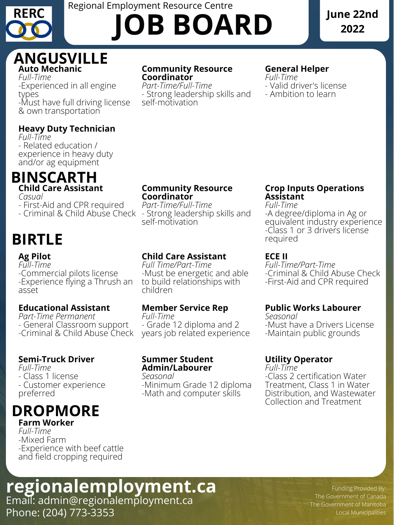*Full-Time* -Experienced in all engine types *-*Must have full driving license & own transportation

## **Community Resource Coordinator**

*Part-Time/Full-Time* - Strong leadership skills and self-motivation

# **General Helper**

*Full-Time* - Valid driver's license - Ambition to learn

# **Heavy Duty Technician**

*Full-Time* - Related education / experience in heavy duty and/or ag equipment

*Casual*

- First-Aid and CPR required

- Criminal & Child Abuse Check

### **Community Resource Coordinator**

-Must be energetic and able The Criminal & Child Abuse Check *Full-Time/Part-Time* -First-Aid and CPR required

*Part-Time Permanent* - General Classroom support -Criminal & Child Abuse Check

*Part-Time/Full-Time* - Strong leadership skills and self-motivation

## **Crop Inputs [Operations](https://careers.patersonglobalfoods.com/jobs/crop-inputs-operations-assistant/) Assistant**

*Full-Time*

*-*A degree/diploma in Ag or equivalent industry experience -Class 1 or 3 drivers license required

# **Ag Pilot** *Full-Time*

-Commercial pilots license -Experience flying a Thrush an asset

# **Child Care Assistant**

*Full Time/Part-Time* to build relationships with children

# **ECE II**

# **Auto Mechanic ANGUSVILLE**

### **Educational Assistant**

# **Member Service Rep**

*Full-Time* - Grade 12 diploma and 2 years job related experience

# **Child Care Assistant BINSCARTH**

## **Public Works Labourer**

*Seasonal* -Must have a Drivers License -Maintain public grounds

# **Semi-Truck Driver**

*Full-Time*

- Class 1 license

- Customer experience preferred

# **Summer Student Admin/Labourer**

*Seasonal* -Minimum Grade 12 diploma -Math and computer skills

# **Utility Operator**

*Full-Time* -Class 2 certification Water Treatment, Class 1 in Water Distribution, and Wastewater Collection and Treatment

*Full-Time* -Mixed Farm -Experience with beef cattle and field cropping required

> Funding Provided By: The Government of Canada The Government of Manitoba Local Municipalities

# **Farm Worker DROPMORE**

# Email: admin@regionalemployment.ca Phone: (204) 773-3353 **regionalemployment.ca**



# Regional Employment Resource Centre **JOB BOARD**

# **June 22nd 2022**

# **BIRTLE**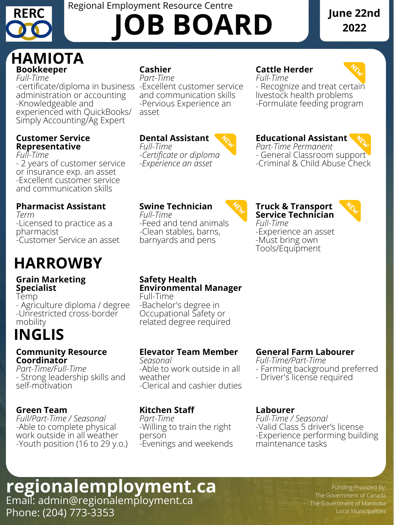*Full-Time -*certificate/diploma in business -Excellent customer service administration or accounting -Knowledgeable and experienced with QuickBooks/ Simply Accounting/Ag Expert

# **Cashier**

*Part-Time* and communication skills -Pervious Experience an asset

# **Cattle Herder**



*Part-Time Permanent* - General Classroom support -Criminal & Child Abuse Check

*Full-Time* - Recognize and treat certain livestock health problems -Formulate feeding program

### **Customer Service Representative**

*Full-Time*

- 2 years of customer service or insurance exp. an asset -Excellent customer service and communication skills

# **Dental Assistant**



*Full-Time -Certificate or diploma -Experience an asset*

## **Educational Assistant**

# **Pharmacist Assistant**

*Term* -Licensed to practice as a pharmacist -Customer Service an asset

# **Swine Technician**

*Full-Time* -Feed and tend animals -Clean stables, barns, barnyards and pens



### **Truck & Transport Service Technician**



*Full-Time* -Experience an asset -Must bring own Tools/Equipment

### **Grain Marketing Specialist**

# **Bookkeeper HAMIOTA**

Temp - Agriculture diploma / degree -Unrestricted cross-border mobility

### **Safety Health Environmental Manager**

Full-Time -Bachelor's degree in Occupational Safety or related degree required

#### **Community Resource Coordinator**

*Part-Time/Full-Time* - Strong leadership skills and self-motivation

# **Elevator Team Member**

*Seasonal* -Able to work outside in all weather -Clerical and cashier duties

# **General Farm Labourer**

*Full-Time/Part-Time*

- Farming background preferred
- Driver's license required

### **Green Team**

*Full/Part-Time / Seasonal* -Able to complete physical work outside in all weather -Youth position (16 to 29 y.o.)

### **Kitchen Staff**

*Part-Time* -Willing to train the right person -Evenings and weekends

### **Labourer**

*Full-Time / Seasonal* -Valid Class 5 driver's license -Experience performing building maintenance tasks

> Funding Provided By: The Government of Canada The Government of Manitoba Local Municipalities

Phone: (204) 773-3353

# Email: admin@regionalemployment.ca **regionalemployment.ca**



# Regional Employment Resource Centre **JOB BOARD**

# **June 22nd 2022**

# **HARROWBY**

# **INGLIS**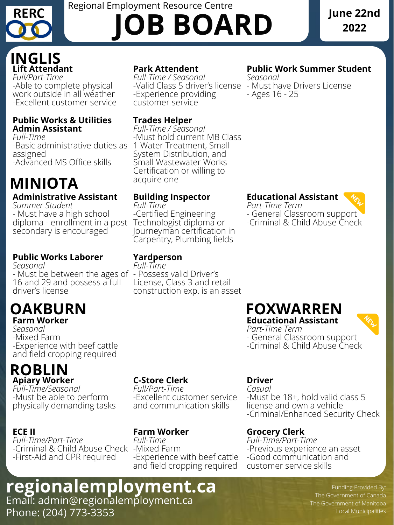*Full/Part-Time* -Able to complete physical work outside in all weather -Excellent customer service

# **Park Attendent**

*Full-Time / Seasonal* -Valid Class 5 driver's license - Must have Drivers License -Experience providing customer service

**Public Work Summer Student** *Seasonal* - Ages 16 - 25

### **Public Works & Utilities Admin Assistant**

-Certified Engineering Journeyman certification in Carpentry, Plumbing fields

*Full-Time* -Basic administrative duties as assigned -Advanced MS Office skills

# **Trades Helper**

- General Classroom support -Criminal & Child Abuse Check

*Full-Time / Seasonal* -Must hold current MB Class 1 Water Treatment, Small System Distribution, and Small Wastewater Works Certification or willing to acquire one

# **Administrative Assistant**

*Part-Time Term* - General Classroom support -Criminal & Child Abuse Check

*Summer Student* - Must have a high school diploma - enrollment in a post Technologist diploma or secondary is encouraged

# **Building Inspector**

*Full-Time*

# **Educational Assistant**



*Part-Time Term*

# **Public Works Laborer**

*Seasonal*

- Must be between the ages of - Possess valid Driver's 16 and 29 and possess a full driver's license

# **Yardperson**

*Full-Time*

# **Lift Attendant INGLIS**

License, Class 3 and retail

construction exp. is an asset

*Seasonal* -Mixed Farm -Experience with beef cattle and field cropping required

*Full-Time/Seasonal* -Must be able to perform physically demanding tasks

# **C-Store Clerk**

*Full/Part-Time* -Excellent customer service and communication skills

**Driver** *Casual* -Must be 18+ , hold valid class 5 license and own a vehicle -Criminal/Enhanced Security Check

### **ECE II**

# **Farm Worker OAKBURN**

*Full-Time/Part-Time* -Criminal & Child Abuse Check -Mixed Farm -First-Aid and CPR required

## **Farm Worker**

# **Educational Assistant FOXWARREN**



*Full-Time* -Experience with beef cattle and field cropping required

# **Apiary Worker ROBLIN**

# **Grocery Clerk**

*Full-Time/Part-Time* -Previous experience an asset -Good communication and customer service skills

> Funding Provided By: The Government of Canada The Government of Manitoba Local Municipalities

# Email: admin@regionalemployment.ca Phone: (204) 773-3353 **regionalemployment.ca**



# Regional Employment Resource Centre **JOB BOARD**

# **June 22nd 2022**

# **MINIOTA**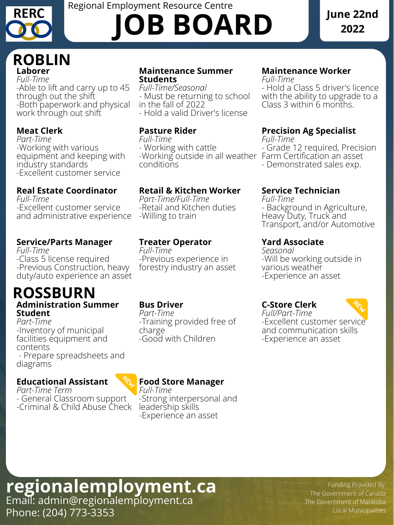*Full-Time* -Able to lift and carry up to 45 through out the shift -Both paperwork and physical work through out shift

### **Maintenance Summer Students**

with the ability to upgrade to a Class 3 within 6 months.

*Full-Time/Seasonal* - Must be returning to school in the fall of 2022 - Hold a valid Driver's license

# **Maintenance Worker**

*Full-Time* - Hold a Class 5 driver's licence

# **Meat Clerk**

*Part-Time* -Working with various equipment and keeping with industry standards -Excellent customer service

# **Pasture Rider**

*Full-Time* - Working with cattle -Working outside in all weather Farm Certification an asset conditions

# **Precision Ag Specialist**

*Full-Time*

- Grade 12 required, Precision

- Demonstrated sales exp.

# **Real Estate Coordinator**

*Full-Time* -Excellent customer service and administrative experience

# **Retail & Kitchen Worker**

*Part-Time Term* - General Classroom support -Criminal & Child Abuse Check *Part-Time/Full-Time* -Retail and Kitchen duties -Willing to train

# **Service Technician**

*Full-Time*

- Background in Agriculture, Heavy Duty, Truck and Transport, and/or Automotive

# **Service/Parts Manager**

# **Laborer ROBLIN**

*Full-Time* -Class 5 license required -Previous Construction, heavy

duty/auto experience an asset

# **Treater Operator**

*Full-Time* -Previous experience in forestry industry an asset

# **Yard Associate**

*Seasonal* -Will be working outside in various weather

#### -Experience an asset

*Part-Time* -Inventory of municipal facilities equipment and contents

- Prepare spreadsheets and diagrams

# **Bus Driver**

*Part-Time* -Training provided free of charge -Good with Children

## **C-Store Clerk**

*Full/Part-Time* -Excellent customer service and communication skills -Experience an asset

# **Educational Assistant**

# **Administration Summer Student ROSSBURN**

# **Food Store Manager**

*Full-Time* -Strong interpersonal and leadership skills -Experience an asset

> Funding Provided By: The Government of Canada The Government of Manitoba Local Municipalities

# Email: admin@regionalemployment.ca Phone: (204) 773-3353 **regionalemployment.ca**



# Regional Employment Resource Centre **JOB BOARD**

# **June 22nd 2022**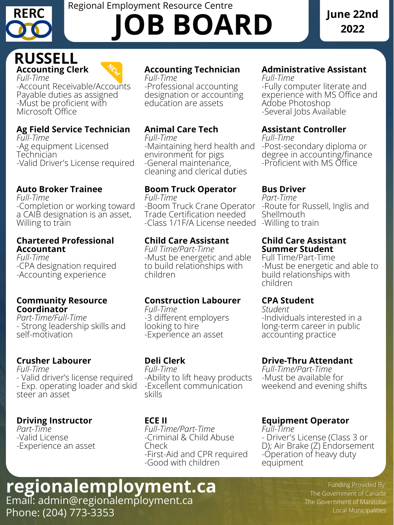-Account Receivable/Accounts Payable duties as assigned -Must be proficient with Microsoft Office

# **Accounting Technician**

*Full-Time* -Professional accounting designation or accounting education are assets

#### **Administrative Assistant** *Full-Time*

-Fully computer literate and experience with MS Office and Adobe Photoshop -Several Jobs Available

# **Ag Field Service Technician**

*Full-Time* -Ag equipment Licensed **Technician** -Valid Driver's License required

# **Animal Care Tech**

*Full-Time* -Maintaining herd health and environment for pigs -General maintenance, cleaning and clerical duties

# **Assistant Controller**

*Full-Time* -Post-secondary diploma or degree in accounting/finance -Proficient with MS Office

# **Auto Broker Trainee**

*Full-Time* -Completion or working toward a CAIB designation is an asset, Willing to train

# **Boom Truck Operator**

*Full-Time* -Boom Truck Crane Operator Trade Certification needed -Class 1/1F/A License needed

# **Bus Driver**

*Part-Time* -Route for Russell, Inglis and Shellmouth -Willing to train

### **Chartered Professional Accountant**

*Full-Time* -CPA designation required

# **Child Care Assistant**

*Full Time/Part-Time* -Must be energetic and able to build relationships with

#### children

## **Accounting Clerk** *Full-Time* **RUSSELL**



### **Child Care Assistant Summer Student**

Full Time/Part-Time -Must be energetic and able to

#### build relationships with children

### **Community Resource Coordinator**

*Part-Time/Full-Time* - Strong leadership skills and self-motivation

# **Construction Labourer**

*Full-Time* -3 different employers looking to hire -Experience an asset

### **CPA Student**

*Student* -Individuals interested in a long-term career in public accounting practice

# **Crusher Labourer**

*Full-Time* - Valid driver's license required - Exp. operating loader and skid steer an asset

# **Deli Clerk**

*Full-Time* -Ability to lift heavy products -Excellent communication skills

# **Drive-Thru Attendant**

*Full-Time/Part-Time* -Must be available for weekend and evening shifts

# **Driving Instructor**

*Part-Time* -Valid License -Experience an asset

#### **ECE II** *Full-Time/Part-Time* -Criminal & Child Abuse Check -First-Aid and CPR required -Good with children

# **Equipment Operator**

*Full-Time* - Driver's License (Class 3 or D); Air Brake (Z) Endorsement -Operation of heavy duty equipment

> Funding Provided By: The Government of Canada The Government of Manitoba Local Municipalities

# Email: admin@regionalemployment.ca Phone: (204) 773-3353 **regionalemployment.ca**



# Regional Employment Resource Centre **JOB BOARD**

# **June 22nd 2022**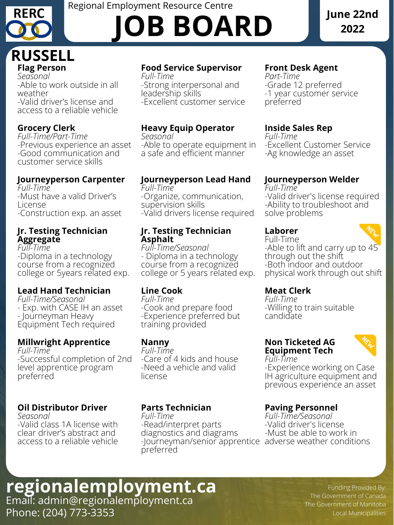**Flag Person** *Seasonal* -Able to work outside in all weather -Valid driver's license and access to a reliable vehicle

# **Food Service Supervisor**

*Full-Time* -Strong interpersonal and leadership skills -Excellent customer service

# **Front Desk Agent**

*Part-Time* -Grade 12 preferred -1 year customer service preferred

# **Grocery Clerk**

*Full-Time/Part-Time* -Previous experience an asset -Good communication and customer service skills

> -Valid driver's license required -Ability to troubleshoot and solve problems

# **Heavy Equip Operator**

*Seasonal* -Able to operate equipment in a safe and efficient manner

# **Inside Sales Rep**

*Full-Time*

-Excellent Customer Service -Ag knowledge an asset

# **Journeyperson Carpenter**

*Full-Time* -Must have a valid Driver's License -Construction exp. an asset

# **Journeyperson Lead Hand**

*Full-Time* -Organize, communication, supervision skills -Valid drivers license required

# **Journeyperson Welder**

*Full-Time*

## **Jr. Testing Technician Aggregate**

*Full-Time* -Diploma in a technology course from a recognized college or 5years related exp.

### **Jr. Testing Technician Asphalt**

*Full-Time/Seasonal*

- Diploma in a technology

course from a recognized

# **Laborer**



Full-Time -Able to lift and carry up to 45 through out the shift -Both indoor and outdoor physical work through out shift

college or 5 years related exp.

### **Lead Hand Technician**

*Full-Time/Seasonal* - Exp. with CASE IH an asset - Journeyman Heavy Equipment Tech required

# **Line Cook**

*Full-Time* -Cook and prepare food -Experience preferred but training provided

# **Meat Clerk**

*Full-Time* -Willing to train suitable candidate

### **Millwright Apprentice**

*Full-Time* -Successful completion of 2nd level apprentice program preferred

### **Nanny**

*Full-Time* -Care of 4 kids and house -Need a vehicle and valid license

#### **Non Ticketed AG Equipment Tech** *Full-Time*



-Experience working on Case IH agriculture equipment and previous experience an asset

# **Oil Distributor Driver**

*Seasonal* -Valid class 1A license with clear driver's abstract and access to a reliable vehicle

# **Parts Technician**

*Full-Time* -Read/interpret parts diagnostics and diagrams -Journeyman/senior apprentice adverse weather conditions preferred **Paving Personnel** *Full-Time/Seasonal* -Valid driver's license -Must be able to work in

> Funding Provided By: The Government of Canada The Government of Manitoba Local Municipalities

# Email: admin@regionalemployment.ca Phone: (204) 773-3353 **regionalemployment.ca**



# Regional Employment Resource Centre **JOB BOARD**

# **June 22nd 2022**

# **RUSSELL**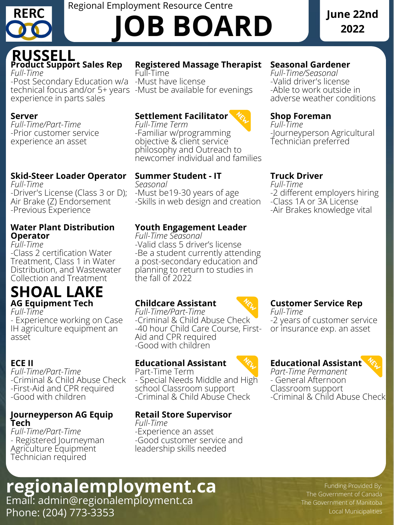*Full-Time* -Post Secondary Education w/a technical focus and/or 5+ years -Must be available for evenings experience in parts sales

# **Registered Massage Therapist**

Full-Time -Must have license

# **Seasonal Gardener**

*Full-Time/Seasonal* -Valid driver's license -Able to work outside in adverse weather conditions

### **Server**

*Full-Time/Part-Time* -Prior customer service experience an asset

# **Settlement Facilitator**

*Full-Time Term* -Familiar w/programming objective & client service philosophy and Outreach to newcomer individual and families

# **Shop Foreman**

*Full-Time* -Journeyperson Agricultural Technician preferred

# **Skid-Steer Loader Operator**

*Full-Time* -Driver's License (Class 3 or D); Air Brake (Z) Endorsement -Previous Experience

# **Summer Student - IT**

*Seasonal* -Must be19-30 years of age -Skills in web design and creation

# **Truck Driver**

*Full-Time* -2 different employers hiring -Class 1A or 3A License -Air Brakes knowledge vital

### **Water Plant Distribution Operator**

*Full-Time* -Class 2 certification Water Treatment, Class 1 in Water Distribution, and Wastewater Collection and Treatment

# **Youth Engagement Leader**

*Full-Time Seasonal* -Valid class 5 driver's license -Be a student currently attending a post-secondary education and planning to return to studies in the fall of 2022

# **Product Support Sales Rep RUSSELL**

*Full-Time* - Experience working on Case IH agriculture equipment an asset

# **Childcare Assistant**

*Full-Time/Part-Time* -Criminal & Child Abuse Check -40 hour Child Care Course, First-Aid and CPR required -Good with children



# **Customer Service Rep**

*Full-Time* -2 years of customer service or insurance exp. an asset

# **ECE II**

*Full-Time/Part-Time* -Criminal & Child Abuse Check -First-Aid and CPR required -Good with children

# **Educational Assistant**



Part-Time Term - Special Needs Middle and High

school Classroom support -Criminal & Child Abuse Check

# **Educational Assistant**

# **AG Equipment Tech SHOAL LAKE**

*Part-Time Permanent* - General Afternoon Classroom support -Criminal & Child Abuse Check

### **Journeyperson AG Equip Tech**

*Full-Time/Part-Time* - Registered Journeyman Agriculture Equipment Technician required

# **Retail Store Supervisor**

*Full-Time* -Experience an asset -Good customer service and leadership skills needed

> Funding Provided By: The Government of Canada The Government of Manitoba Local Municipalities

# Email: admin@regionalemployment.ca Phone: (204) 773-3353 **regionalemployment.ca**



# Regional Employment Resource Centre **JOB BOARD**

# **June 22nd 2022**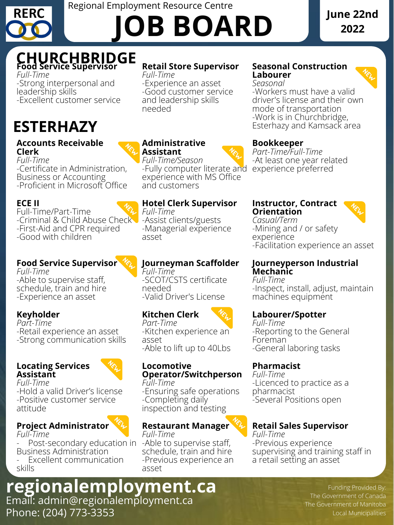Funding Provided By: The Government of Canada The Government of Manitoba Local Municipalities

# Email: admin@regionalemployment.ca Phone: (204) 773-3353 **regionalemployment.ca**



# Regional Employment Resource Centre **JOB BOARD**

# **June 22nd 2022**

*Full-Time* -Strong interpersonal and leadership skills -Excellent customer service

# **Retail Store Supervisor**

*Full-Time* -Experience an asset -Good customer service and leadership skills needed

### **Seasonal Construction Labourer**

*Seasonal*

-Workers must have a valid driver's license and their own mode of transportation -Work is in Churchbridge, Esterhazy and Kamsack area

### **Accounts Receivable Clerk**

*Full-Time* -Certificate in Administration, Business or Accounting -Proficient in Microsoft Office

## **Administrative Assistant**

*Full-Time/Season* -Fully computer literate and experience with MS Office and customers

# **Bookkeeper**

*Part-Time/Full-Time* -At least one year related experience preferred

# **ECE II**

Full-Time/Part-Time -Criminal & Child Abuse Check -First-Aid and CPR required -Good with children

# **Hotel Clerk Supervisor**

Post-secondary education in Business Administration

*Full-Time* -Assist clients/guests -Managerial experience asset

Excellent communication skills

### **Instructor, Contract Orientation**



*Casual/Term* -Mining and / or safety experience -Facilitation experience an asset

**Food Service Supervisor**

#### *Full-Time*

-Able to supervise staff, schedule, train and hire -Experience an asset

# **Food Service Supervisor CHURCHBRIDGE**

**Journeyman Scaffolder**

#### *Full-Time* -SCOT/CSTS certificate needed -Valid Driver's License

### **Journeyperson Industrial Mechanic**

*Full-Time*

-Inspect, install, adjust, maintain machines equipment

# **Keyholder**

*Part-Time* -Retail experience an asset -Strong communication skills

# **Kitchen Clerk**



*Part-Time* -Kitchen experience an asset -Able to lift up to 40Lbs

# **Labourer/Spotter**

*Full-Time* -Reporting to the General Foreman

-General laboring tasks

### **Locating Services Assistant**



*Full-Time* -Hold a valid Driver's license -Positive customer service attitude

## **Locomotive Operator/Switchperson**

*Full-Time* -Ensuring safe operations -Completing daily inspection and testing

# **Pharmacist**

*Full-Time* -Licenced to practice as a pharmacist -Several Positions open

# **Project Administrator**

*Full-Time*

## **Restaurant Manager**

*Full-Time* -Able to supervise staff, schedule, train and hire -Previous experience an asset

# **Retail Sales Supervisor**

*Full-Time* -Previous experience supervising and training staff in a retail setting an asset

# **ESTERHAZY**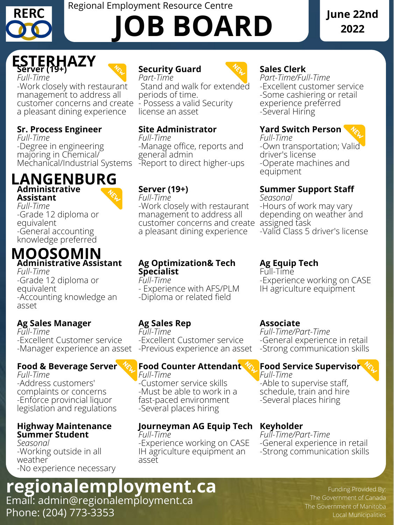Funding Provided By: The Government of Canada The Government of Manitoba Local Municipalities

# Email: admin@regionalemployment.ca Phone: (204) 773-3353 **regionalemployment.ca**



# Regional Employment Resource Centre **JOB BOARD**

# **June 22nd 2022**

-Work closely with restaurant management to address all customer concerns and create a pleasant dining experience

> *Full-Time* -Manage office, reports and general admin -Report to direct higher-ups



*Part-Time* Stand and walk for extended periods of time. - Possess a valid Security license an asset

**Sales Clerk** *Part-Time/Full-Time* -Excellent customer service -Some cashiering or retail experience preferred -Several Hiring

# **Sr. Process Engineer**

*Full-Time* -Degree in engineering majoring in Chemical/ Mechanical/Industrial Systems

# **Site Administrator**

#### **Yard Switch Person** *Full-Time*



-Own transportation; Valid driver's license -Operate machines and equipment

**Assistant**

*Full-Time* -Grade 12 diploma or equivalent -General accounting knowledge preferred

# **Server (19+)**

*Full-Time*

-Work closely with restaurant management to address all customer concerns and create a pleasant dining experience



# **Summer Support Staff**

*Seasonal*

-Hours of work may vary depending on weather and assigned task -Valid Class 5 driver's license

-Grade 12 diploma or equivalent -Accounting knowledge an asset

**Server (19+)** *Full-Time* **ESTERHAZY**



### **Ag Optimization& Tech Specialist**

*Full-Time*

- Experience with AFS/PLM
- -Diploma or related field

**Ag Equip Tech** Full-Time

-Experience working on CASE IH agriculture equipment

## **Ag Sales Manager**

*Full-Time* -Excellent Customer service -Manager experience an asset

# **Ag Sales Rep**

*Full-Time* -Excellent Customer service -Previous experience an asset

# **Administrative LANGENBURG**

### **Associate**

*Full-Time/Part-Time* -General experience in retail -Strong communication skills

### **Food & Beverage Server**

# **Administrative Assistant** *Full-Time* **MOOSOMIN**

*Full-Time* -Address customers' complaints or concerns -Enforce provincial liquor legislation and regulations

## **Food Counter Attendant**

*Full-Time* -Customer service skills -Must be able to work in a fast-paced environment -Several places hiring

# **Food Service Supervisor**

*Full-Time* -Able to supervise staff, schedule, train and hire -Several places hiring

### **Highway Maintenance Summer Student**

*Seasonal* -Working outside in all weather -No experience necessary

# **Journeyman AG Equip Tech**

*Full-Time* -Experience working on CASE IH agriculture equipment an asset

## **Keyholder**

*Full-Time/Part-Time* -General experience in retail -Strong communication skills